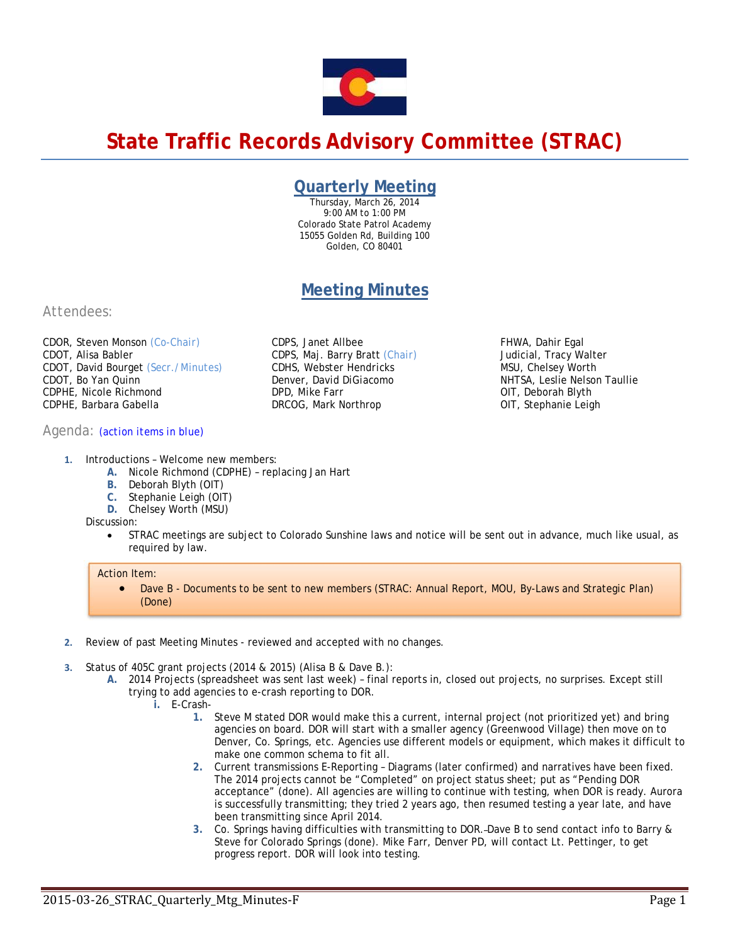# **State Traffic Records Advisory Committee (STRAC)**

# **Quarterly Meeting**

Thursday, March 26, 2014 9:00 AM to 1:00 PM Colorado State Patrol Academy 15055 Golden Rd, Building 100 Golden, CO 80401

# **Meeting Minutes**

CDPS, Janet Allbee

*DPD, Mike Farr*  DRCOG, Mark Northrop

CDPS, Maj. Barry Bratt *(Chair) CDHS, Webster Hendricks Denver, David DiGiacomo* 

# *Attendees:*

CDOR, Steven Monson *(Co-Chair)* CDOT, Alisa Babler CDOT, David Bourget *(Secr./Minutes)*  CDOT, Bo Yan Quinn CDPHE, Nicole Richmond CDPHE, Barbara Gabella

## *Agenda: (action items in blue)*

- **1.** Introductions Welcome new members:
	- **A.** Nicole Richmond (CDPHE) replacing Jan Hart
	- **B.** Deborah Blyth (OIT)
	- **C.** Stephanie Leigh (OIT)
	- **D.** Chelsey Worth (MSU)

Discussion:

 STRAC meetings are subject to Colorado Sunshine laws and notice will be sent out in advance, much like usual, as required by law.

## Action Item:

- Dave B Documents to be sent to new members (STRAC: Annual Report, MOU, By-Laws and Strategic Plan) (Done)
- **2.** Review of past Meeting Minutes reviewed and accepted with no changes.
- **3.** Status of 405C grant projects (2014 & 2015) (Alisa B & Dave B.):
	- **A.** 2014 Projects (spreadsheet was sent last week) final reports in, closed out projects, no surprises. Except still trying to add agencies to e-crash reporting to DOR.
		- **i.** E-Crash-
			- **1.** Steve M stated DOR would make this a current, internal project (not prioritized yet) and bring agencies on board. DOR will start with a smaller agency (Greenwood Village) then move on to Denver, Co. Springs, etc. Agencies use different models or equipment, which makes it difficult to make one common schema to fit all.

FHWA, Dahir Egal Judicial, Tracy Walter MSU, Chelsey Worth

OIT, Deborah Blyth OIT, Stephanie Leigh

NHTSA, Leslie Nelson Taullie

- **2.** Current transmissions E-Reporting Diagrams (later confirmed) and narratives have been fixed. The 2014 projects cannot be "Completed" on project status sheet; put as "Pending DOR acceptance" (done). All agencies are willing to continue with testing, when DOR is ready. Aurora is successfully transmitting; they tried 2 years ago, then resumed testing a year late, and have been transmitting since April 2014.
- **3.** Co. Springs having difficulties with transmitting to DOR. Dave B to send contact info to Barry & Steve for Colorado Springs (done). Mike Farr, Denver PD, will contact Lt. Pettinger, to get progress report. DOR will look into testing.

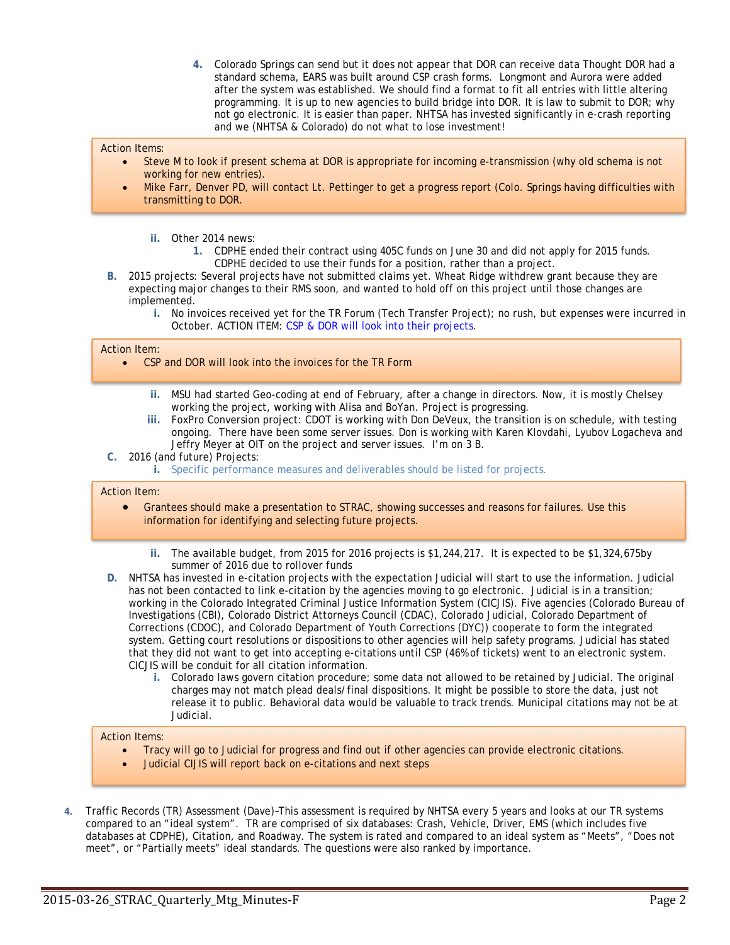**4.** Colorado Springs can send but it does not appear that DOR can receive data Thought DOR had a standard schema, EARS was built around CSP crash forms. Longmont and Aurora were added after the system was established. We should find a format to fit all entries with little altering programming. It is up to new agencies to build bridge into DOR. It is law to submit to DOR; why not go electronic. It is easier than paper. NHTSA has invested significantly in e-crash reporting and we (NHTSA & Colorado) do not what to lose investment!

#### Action Items:

- Steve M to look if present schema at DOR is appropriate for incoming e-transmission (why old schema is not working for new entries).
- Mike Farr, Denver PD, will contact Lt. Pettinger to get a progress report (Colo. Springs having difficulties with transmitting to DOR.
	- **ii.** Other 2014 news:
		- **1.** CDPHE ended their contract using 405C funds on June 30 and did not apply for 2015 funds. CDPHE decided to use their funds for a position, rather than a project.
- **B.** 2015 projects: Several projects have not submitted claims yet. Wheat Ridge withdrew grant because they are expecting major changes to their RMS soon, and wanted to hold off on this project until those changes are implemented.
	- **i.** No invoices received yet for the TR Forum (Tech Transfer Project); no rush, but expenses were incurred in October. ACTION ITEM: CSP & DOR will look into their projects.

#### Action Item:

- CSP and DOR will look into the invoices for the TR Form
	- **ii.** MSU had started Geo-coding at end of February, after a change in directors. Now, it is mostly Chelsey working the project, working with Alisa and BoYan. Project is progressing.
	- **iii.** FoxPro Conversion project: CDOT is working with Don DeVeux, the transition is on schedule, with testing ongoing. There have been some server issues. Don is working with Karen Klovdahi, Lyubov Logacheva and Jeffry Meyer at OIT on the project and server issues. I'm on 3 B.
- **C.** 2016 (and future) Projects:
	- **i.** Specific performance measures and deliverables should be listed for projects.

#### Action Item:

- Grantees should make a presentation to STRAC, showing successes and reasons for failures. Use this information for identifying and selecting future projects.
	- **ii.** The available budget, from 2015 for 2016 projects is \$1,244,217. It is expected to be \$1,324,675by summer of 2016 due to rollover funds
- **D.** NHTSA has invested in e-citation projects with the expectation Judicial will start to use the information. Judicial has not been contacted to link e-citation by the agencies moving to go electronic. Judicial is in a transition; working in the Colorado Integrated Criminal Justice Information System (CICJIS). Five agencies (Colorado Bureau of Investigations (CBI), Colorado District Attorneys Council (CDAC), Colorado Judicial, Colorado Department of Corrections (CDOC), and Colorado Department of Youth Corrections (DYC)) cooperate to form the integrated system. Getting court resolutions or dispositions to other agencies will help safety programs. Judicial has stated that they did not want to get into accepting e-citations until CSP (46% of tickets) went to an electronic system. CICJIS will be conduit for all citation information.
	- **i.** Colorado laws govern citation procedure; some data not allowed to be retained by Judicial. The original charges may not match plead deals/final dispositions. It might be possible to store the data, just not release it to public. Behavioral data would be valuable to track trends. Municipal citations may not be at Judicial.

#### Action Items:

- Tracy will go to Judicial for progress and find out if other agencies can provide electronic citations.
- Judicial CIJIS will report back on e-citations and next steps
- **4.** Traffic Records (TR) Assessment (Dave)–This assessment is required by NHTSA every 5 years and looks at our TR systems compared to an "ideal system". TR are comprised of six databases: Crash, Vehicle, Driver, EMS (which includes five databases at CDPHE), Citation, and Roadway. The system is rated and compared to an ideal system as "Meets", "Does not meet", or "Partially meets" ideal standards. The questions were also ranked by importance.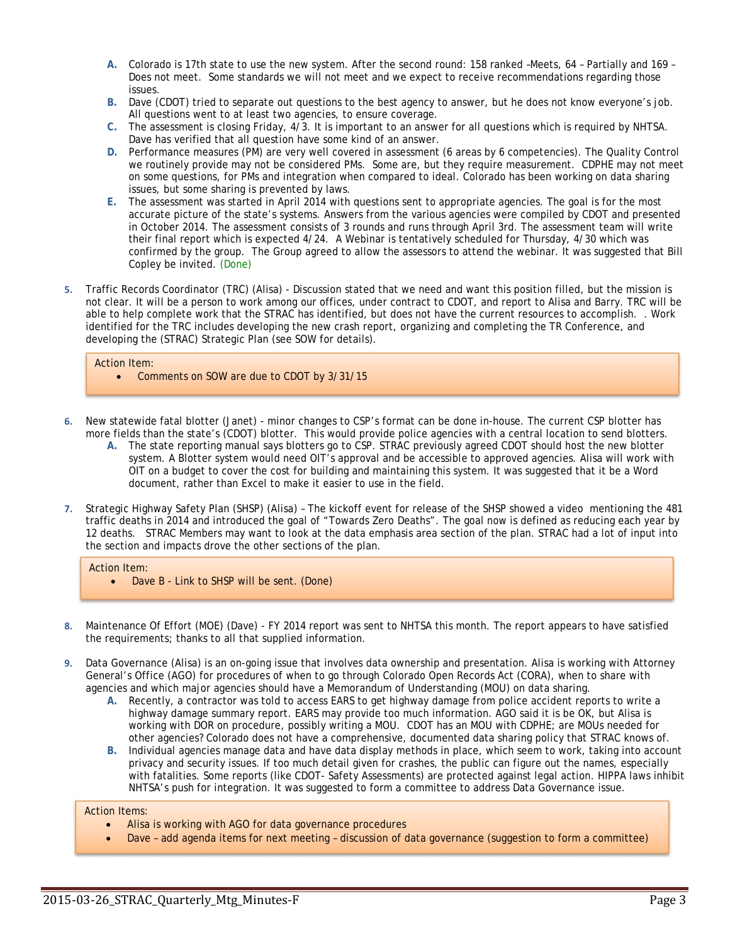- **A.** Colorado is 17th state to use the new system. After the second round: 158 ranked –Meets, 64 Partially and 169 Does not meet. Some standards we will not meet and we expect to receive recommendations regarding those issues.
- **B.** Dave (CDOT) tried to separate out questions to the best agency to answer, but he does not know everyone's job. All questions went to at least two agencies, to ensure coverage.
- **C.** The assessment is closing Friday, 4/3. It is important to an answer for all questions which is required by NHTSA. Dave has verified that all question have some kind of an answer.
- **D.** Performance measures (PM) are very well covered in assessment (6 areas by 6 competencies). The Quality Control we routinely provide may not be considered PMs. Some are, but they require measurement. CDPHE may not meet on some questions, for PMs and integration when compared to ideal. Colorado has been working on data sharing issues, but some sharing is prevented by laws.
- **E.** The assessment was started in April 2014 with questions sent to appropriate agencies. The goal is for the most accurate picture of the state's systems. Answers from the various agencies were compiled by CDOT and presented in October 2014. The assessment consists of 3 rounds and runs through April 3rd. The assessment team will write their final report which is expected 4/24. A Webinar is tentatively scheduled for Thursday, 4/30 which was confirmed by the group. The Group agreed to allow the assessors to attend the webinar. It was suggested that Bill Copley be invited. (Done)
- **5.** Traffic Records Coordinator (TRC) (Alisa) Discussion stated that we need and want this position filled, but the mission is not clear. It will be a person to work among our offices, under contract to CDOT, and report to Alisa and Barry. TRC will be able to help complete work that the STRAC has identified, but does not have the current resources to accomplish. . Work identified for the TRC includes developing the new crash report, organizing and completing the TR Conference, and developing the (STRAC) Strategic Plan (see SOW for details).

#### Action Item:

- Comments on SOW are due to CDOT by 3/31/15
- **6.** New statewide fatal blotter (Janet) minor changes to CSP's format can be done in-house. The current CSP blotter has more fields than the state's (CDOT) blotter. This would provide police agencies with a central location to send blotters.
	- **A.** The state reporting manual says blotters go to CSP. STRAC previously agreed CDOT should host the new blotter system. A Blotter system would need OIT's approval and be accessible to approved agencies. Alisa will work with OIT on a budget to cover the cost for building and maintaining this system. It was suggested that it be a Word document, rather than Excel to make it easier to use in the field.
- **7.** Strategic Highway Safety Plan (SHSP) (Alisa) The kickoff event for release of the SHSP showed a video mentioning the 481 traffic deaths in 2014 and introduced the goal of "Towards Zero Deaths". The goal now is defined as reducing each year by 12 deaths. STRAC Members may want to look at the data emphasis area section of the plan. STRAC had a lot of input into the section and impacts drove the other sections of the plan.

#### Action Item:

- Dave B Link to SHSP will be sent. (Done)
- **8.** Maintenance Of Effort (MOE) (Dave) FY 2014 report was sent to NHTSA this month. The report appears to have satisfied the requirements; thanks to all that supplied information.
- **9.** Data Governance (Alisa) is an on-going issue that involves data ownership and presentation. Alisa is working with Attorney General's Office (AGO) for procedures of when to go through Colorado Open Records Act (CORA), when to share with agencies and which major agencies should have a Memorandum of Understanding (MOU) on data sharing.
	- **A.** Recently, a contractor was told to access EARS to get highway damage from police accident reports to write a highway damage summary report. EARS may provide too much information. AGO said it is be OK, but Alisa is working with DOR on procedure, possibly writing a MOU. CDOT has an MOU with CDPHE; are MOUs needed for other agencies? Colorado does not have a comprehensive, documented data sharing policy that STRAC knows of.
	- **B.** Individual agencies manage data and have data display methods in place, which seem to work, taking into account privacy and security issues. If too much detail given for crashes, the public can figure out the names, especially with fatalities. Some reports (like CDOT- Safety Assessments) are protected against legal action. HIPPA laws inhibit NHTSA's push for integration. It was suggested to form a committee to address Data Governance issue.

#### Action Items:

- Alisa is working with AGO for data governance procedures
- Dave add agenda items for next meeting discussion of data governance (suggestion to form a committee)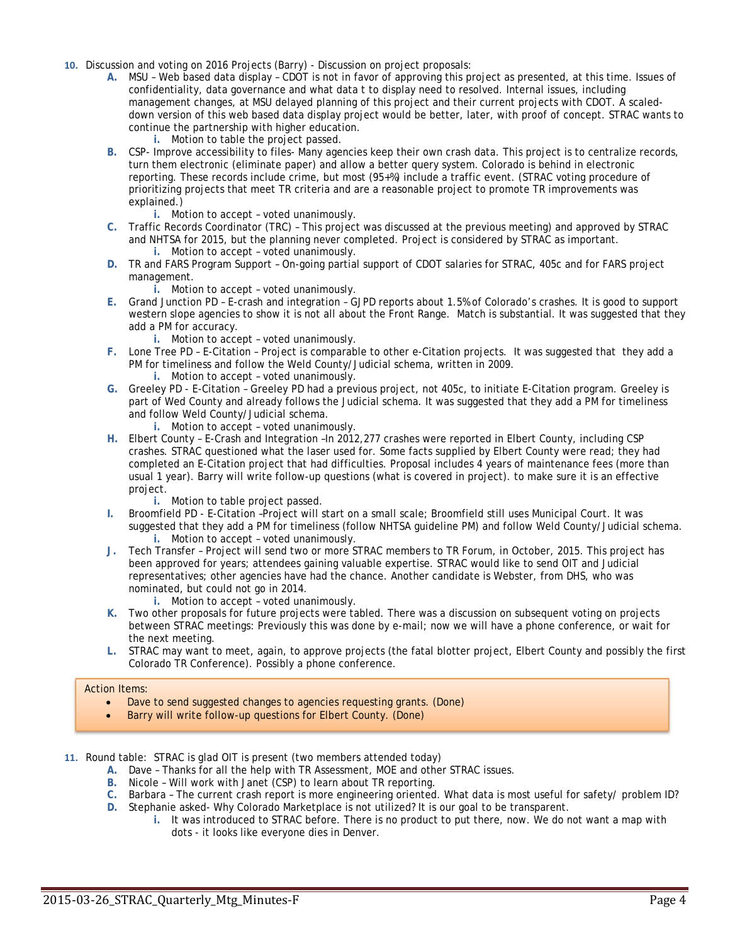- **10.** Discussion and voting on 2016 Projects (Barry) Discussion on project proposals:
	- **A.** MSU Web based data display CDOT is not in favor of approving this project as presented, at this time. Issues of confidentiality, data governance and what data t to display need to resolved. Internal issues, including management changes, at MSU delayed planning of this project and their current projects with CDOT. A scaleddown version of this web based data display project would be better, later, with proof of concept. STRAC wants to continue the partnership with higher education.
		- **i.** Motion to table the project passed.
	- **B.** CSP- Improve accessibility to files- Many agencies keep their own crash data. This project is to centralize records, turn them electronic (eliminate paper) and allow a better query system. Colorado is behind in electronic reporting. These records include crime, but most (95+%) include a traffic event. (STRAC voting procedure of prioritizing projects that meet TR criteria and are a reasonable project to promote TR improvements was explained.)
		- **i.** Motion to accept voted unanimously.
	- **C.** Traffic Records Coordinator (TRC) This project was discussed at the previous meeting) and approved by STRAC and NHTSA for 2015, but the planning never completed. Project is considered by STRAC as important. **i.** Motion to accept – voted unanimously.
	- **D.** TR and FARS Program Support On-going partial support of CDOT salaries for STRAC, 405c and for FARS project management.
		- **i.** Motion to accept voted unanimously.
	- **E.** Grand Junction PD E-crash and integration GJPD reports about 1.5% of Colorado's crashes. It is good to support western slope agencies to show it is not all about the Front Range. Match is substantial. It was suggested that they add a PM for accuracy.
		- **i.** Motion to accept voted unanimously.
	- **F.** Lone Tree PD E-Citation Project is comparable to other e-Citation projects. It was suggested that they add a PM for timeliness and follow the Weld County/Judicial schema, written in 2009. **i.** Motion to accept – voted unanimously.
	- **G.** Greeley PD E-Citation Greeley PD had a previous project, not 405c, to initiate E-Citation program. Greeley is part of Wed County and already follows the Judicial schema. It was suggested that they add a PM for timeliness and follow Weld County/Judicial schema.
		- **i.** Motion to accept voted unanimously.
	- **H.** Elbert County E-Crash and Integration –In 2012,277 crashes were reported in Elbert County, including CSP crashes. STRAC questioned what the laser used for. Some facts supplied by Elbert County were read; they had completed an E-Citation project that had difficulties. Proposal includes 4 years of maintenance fees (more than usual 1 year). Barry will write follow-up questions (what is covered in project). to make sure it is an effective project.
		- **i.** Motion to table project passed.
	- **I.** Broomfield PD E-Citation –Project will start on a small scale; Broomfield still uses Municipal Court. It was suggested that they add a PM for timeliness (follow NHTSA guideline PM) and follow Weld County/Judicial schema. **i.** Motion to accept – voted unanimously.
	- **J.** Tech Transfer Project will send two or more STRAC members to TR Forum, in October, 2015. This project has been approved for years; attendees gaining valuable expertise. STRAC would like to send OIT and Judicial representatives; other agencies have had the chance. Another candidate is Webster, from DHS, who was nominated, but could not go in 2014.
		- **i.** Motion to accept voted unanimously.
	- **K.** Two other proposals for future projects were tabled. There was a discussion on subsequent voting on projects between STRAC meetings: Previously this was done by e-mail; now we will have a phone conference, or wait for the next meeting.
	- **L.** STRAC may want to meet, again, to approve projects (the fatal blotter project, Elbert County and possibly the first Colorado TR Conference). Possibly a phone conference.

#### Action Items:

- Dave to send suggested changes to agencies requesting grants. (Done)
- Barry will write follow-up questions for Elbert County. (Done)
- **11.** Round table: STRAC is glad OIT is present (two members attended today)
	- **A.** Dave Thanks for all the help with TR Assessment, MOE and other STRAC issues.
	- **B.** Nicole Will work with Janet (CSP) to learn about TR reporting.
	- **C.** Barbara The current crash report is more engineering oriented. What data is most useful for safety/ problem ID?
	- **D.** Stephanie asked- Why Colorado Marketplace is not utilized? It is our goal to be transparent.
		- **i.** It was introduced to STRAC before. There is no product to put there, now. We do not want a map with dots - it looks like everyone dies in Denver.